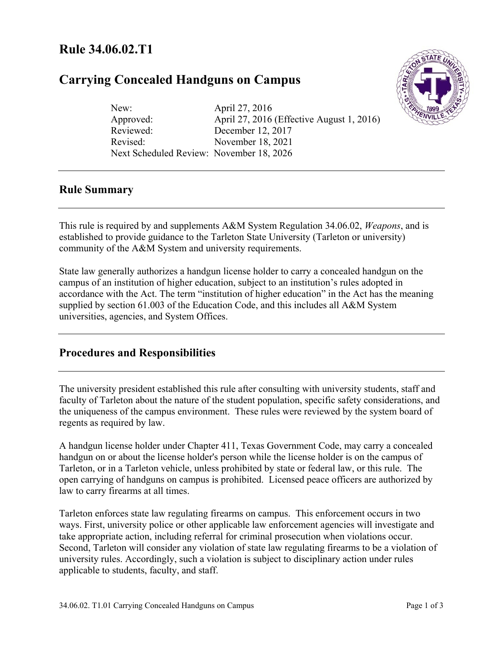# **Rule 34.06.02.T1**

# **Carrying Concealed Handguns on Campus**



New: April 27, 2016 Approved: April 27, 2016 (Effective August 1, 2016) Reviewed: December 12, 2017 Revised: November 18, 2021 Next Scheduled Review: November 18, 2026

# **Rule Summary**

This rule is required by and supplements A&M System Regulation 34.06.02, *Weapons*, and is established to provide guidance to the Tarleton State University (Tarleton or university) community of the A&M System and university requirements.

State law generally authorizes a handgun license holder to carry a concealed handgun on the campus of an institution of higher education, subject to an institution's rules adopted in accordance with the Act. The term "institution of higher education" in the Act has the meaning supplied by section 61.003 of the Education Code, and this includes all A&M System universities, agencies, and System Offices.

# **Procedures and Responsibilities**

The university president established this rule after consulting with university students, staff and faculty of Tarleton about the nature of the student population, specific safety considerations, and the uniqueness of the campus environment. These rules were reviewed by the system board of regents as required by law.

A handgun license holder under Chapter 411, Texas Government Code, may carry a concealed handgun on or about the license holder's person while the license holder is on the campus of Tarleton, or in a Tarleton vehicle, unless prohibited by state or federal law, or this rule. The open carrying of handguns on campus is prohibited. Licensed peace officers are authorized by law to carry firearms at all times.

Tarleton enforces state law regulating firearms on campus. This enforcement occurs in two ways. First, university police or other applicable law enforcement agencies will investigate and take appropriate action, including referral for criminal prosecution when violations occur. Second, Tarleton will consider any violation of state law regulating firearms to be a violation of university rules. Accordingly, such a violation is subject to disciplinary action under rules applicable to students, faculty, and staff.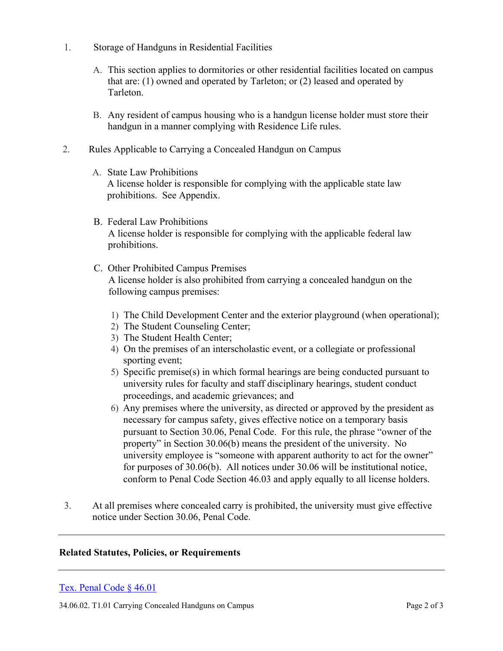- 1. Storage of Handguns in Residential Facilities
	- A. This section applies to dormitories or other residential facilities located on campus that are: (1) owned and operated by Tarleton; or (2) leased and operated by Tarleton.
	- B. Any resident of campus housing who is a handgun license holder must store their handgun in a manner complying with Residence Life rules.
- 2. Rules Applicable to Carrying a Concealed Handgun on Campus
	- A. State Law Prohibitions A license holder is responsible for complying with the applicable state law prohibitions. See Appendix.
	- B. Federal Law Prohibitions A license holder is responsible for complying with the applicable federal law prohibitions.
	- C. Other Prohibited Campus Premises A license holder is also prohibited from carrying a concealed handgun on the following campus premises:
		- 1) The Child Development Center and the exterior playground (when operational);
		- 2) The Student Counseling Center;
		- 3) The Student Health Center;
		- 4) On the premises of an interscholastic event, or a collegiate or professional sporting event;
		- 5) Specific premise(s) in which formal hearings are being conducted pursuant to university rules for faculty and staff disciplinary hearings, student conduct proceedings, and academic grievances; and
		- 6) Any premises where the university, as directed or approved by the president as necessary for campus safety, gives effective notice on a temporary basis pursuant to Section 30.06, Penal Code. For this rule, the phrase "owner of the property" in Section 30.06(b) means the president of the university. No university employee is "someone with apparent authority to act for the owner" for purposes of 30.06(b). All notices under 30.06 will be institutional notice, conform to Penal Code Section 46.03 and apply equally to all license holders.
- 3. At all premises where concealed carry is prohibited, the university must give effective notice under Section 30.06, Penal Code.

#### **Related Statutes, Policies, or Requirements**

## [Tex. Penal Code § 46.01](https://statutes.capitol.texas.gov/docs/pe/htm/pe.46.htm)

34.06.02. T1.01 Carrying Concealed Handguns on Campus Page 2 of 3